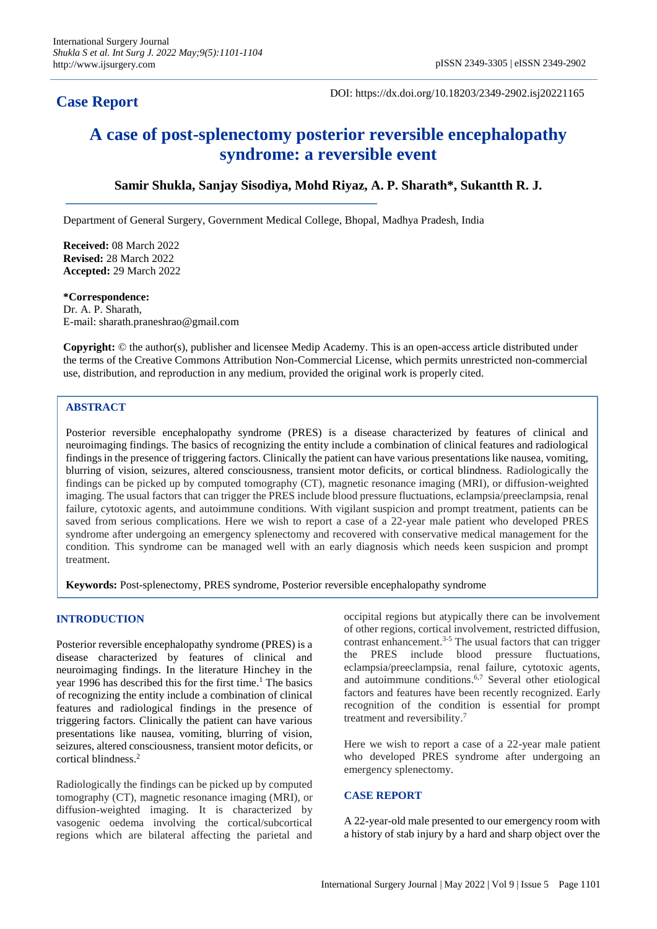DOI: https://dx.doi.org/10.18203/2349-2902.isj20221165

# **A case of post-splenectomy posterior reversible encephalopathy syndrome: a reversible event**

## **Samir Shukla, Sanjay Sisodiya, Mohd Riyaz, A. P. Sharath\*, Sukantth R. J.**

Department of General Surgery, Government Medical College, Bhopal, Madhya Pradesh, India

**Received:** 08 March 2022 **Revised:** 28 March 2022 **Accepted:** 29 March 2022

**\*Correspondence:** Dr. A. P. Sharath, E-mail: sharath.praneshrao@gmail.com

**Copyright:** © the author(s), publisher and licensee Medip Academy. This is an open-access article distributed under the terms of the Creative Commons Attribution Non-Commercial License, which permits unrestricted non-commercial use, distribution, and reproduction in any medium, provided the original work is properly cited.

## **ABSTRACT**

Posterior reversible encephalopathy syndrome (PRES) is a disease characterized by features of clinical and neuroimaging findings. The basics of recognizing the entity include a combination of clinical features and radiological findings in the presence of triggering factors. Clinically the patient can have various presentations like nausea, vomiting, blurring of vision, seizures, altered consciousness, transient motor deficits, or cortical blindness. Radiologically the findings can be picked up by computed tomography (CT), magnetic resonance imaging (MRI), or diffusion-weighted imaging. The usual factors that can trigger the PRES include blood pressure fluctuations, eclampsia/preeclampsia, renal failure, cytotoxic agents, and autoimmune conditions. With vigilant suspicion and prompt treatment, patients can be saved from serious complications. Here we wish to report a case of a 22-year male patient who developed PRES syndrome after undergoing an emergency splenectomy and recovered with conservative medical management for the condition. This syndrome can be managed well with an early diagnosis which needs keen suspicion and prompt treatment.

**Keywords:** Post-splenectomy, PRES syndrome, Posterior reversible encephalopathy syndrome

### **INTRODUCTION**

Posterior reversible encephalopathy syndrome (PRES) is a disease characterized by features of clinical and neuroimaging findings. In the literature Hinchey in the year 1996 has described this for the first time. <sup>1</sup> The basics of recognizing the entity include a combination of clinical features and radiological findings in the presence of triggering factors. Clinically the patient can have various presentations like nausea, vomiting, blurring of vision, seizures, altered consciousness, transient motor deficits, or cortical blindness. 2

Radiologically the findings can be picked up by computed tomography (CT), magnetic resonance imaging (MRI), or diffusion-weighted imaging. It is characterized by vasogenic oedema involving the cortical/subcortical regions which are bilateral affecting the parietal and occipital regions but atypically there can be involvement of other regions, cortical involvement, restricted diffusion, contrast enhancement. 3-5 The usual factors that can trigger the PRES include blood pressure fluctuations, eclampsia/preeclampsia, renal failure, cytotoxic agents, and autoimmune conditions. 6,7 Several other etiological factors and features have been recently recognized. Early recognition of the condition is essential for prompt treatment and reversibility. 7

Here we wish to report a case of a 22-year male patient who developed PRES syndrome after undergoing an emergency splenectomy.

#### **CASE REPORT**

A 22-year-old male presented to our emergency room with a history of stab injury by a hard and sharp object over the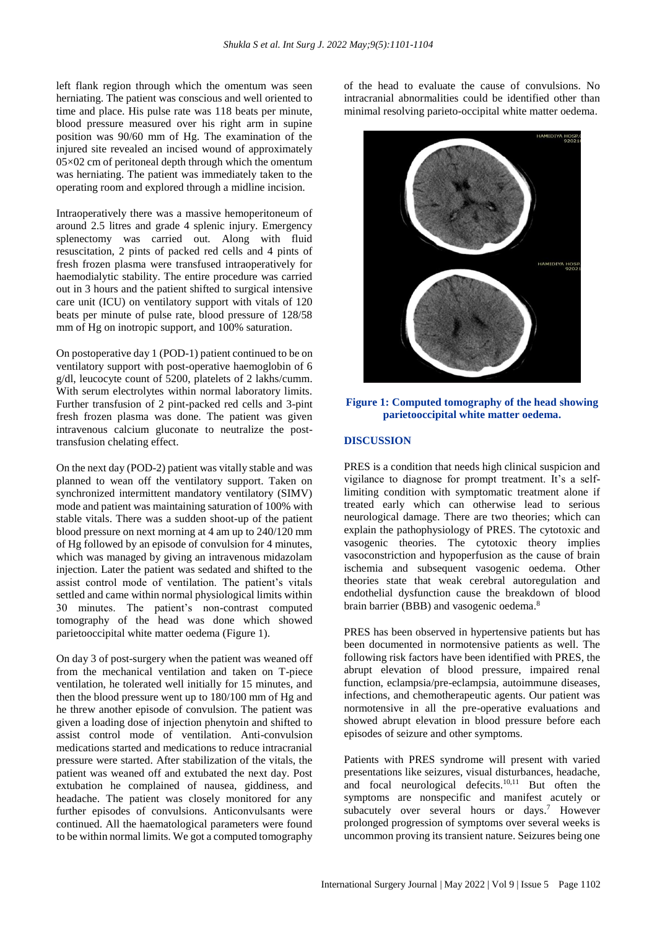left flank region through which the omentum was seen herniating. The patient was conscious and well oriented to time and place. His pulse rate was 118 beats per minute, blood pressure measured over his right arm in supine position was 90/60 mm of Hg. The examination of the injured site revealed an incised wound of approximately  $05\times02$  cm of peritoneal depth through which the omentum was herniating. The patient was immediately taken to the operating room and explored through a midline incision.

Intraoperatively there was a massive hemoperitoneum of around 2.5 litres and grade 4 splenic injury. Emergency splenectomy was carried out. Along with fluid resuscitation, 2 pints of packed red cells and 4 pints of fresh frozen plasma were transfused intraoperatively for haemodialytic stability. The entire procedure was carried out in 3 hours and the patient shifted to surgical intensive care unit (ICU) on ventilatory support with vitals of 120 beats per minute of pulse rate, blood pressure of 128/58 mm of Hg on inotropic support, and 100% saturation.

On postoperative day 1 (POD-1) patient continued to be on ventilatory support with post-operative haemoglobin of 6 g/dl, leucocyte count of 5200, platelets of 2 lakhs/cumm. With serum electrolytes within normal laboratory limits. Further transfusion of 2 pint-packed red cells and 3-pint fresh frozen plasma was done. The patient was given intravenous calcium gluconate to neutralize the posttransfusion chelating effect.

On the next day (POD-2) patient was vitally stable and was planned to wean off the ventilatory support. Taken on synchronized intermittent mandatory ventilatory (SIMV) mode and patient was maintaining saturation of 100% with stable vitals. There was a sudden shoot-up of the patient blood pressure on next morning at 4 am up to 240/120 mm of Hg followed by an episode of convulsion for 4 minutes, which was managed by giving an intravenous midazolam injection. Later the patient was sedated and shifted to the assist control mode of ventilation. The patient's vitals settled and came within normal physiological limits within 30 minutes. The patient's non-contrast computed tomography of the head was done which showed parietooccipital white matter oedema (Figure 1).

On day 3 of post-surgery when the patient was weaned off from the mechanical ventilation and taken on T-piece ventilation, he tolerated well initially for 15 minutes, and then the blood pressure went up to 180/100 mm of Hg and he threw another episode of convulsion. The patient was given a loading dose of injection phenytoin and shifted to assist control mode of ventilation. Anti-convulsion medications started and medications to reduce intracranial pressure were started. After stabilization of the vitals, the patient was weaned off and extubated the next day. Post extubation he complained of nausea, giddiness, and headache. The patient was closely monitored for any further episodes of convulsions. Anticonvulsants were continued. All the haematological parameters were found to be within normal limits. We got a computed tomography

of the head to evaluate the cause of convulsions. No intracranial abnormalities could be identified other than minimal resolving parieto-occipital white matter oedema.



**Figure 1: Computed tomography of the head showing parietooccipital white matter oedema.**

#### **DISCUSSION**

PRES is a condition that needs high clinical suspicion and vigilance to diagnose for prompt treatment. It's a selflimiting condition with symptomatic treatment alone if treated early which can otherwise lead to serious neurological damage. There are two theories; which can explain the pathophysiology of PRES. The cytotoxic and vasogenic theories. The cytotoxic theory implies vasoconstriction and hypoperfusion as the cause of brain ischemia and subsequent vasogenic oedema. Other theories state that weak cerebral autoregulation and endothelial dysfunction cause the breakdown of blood brain barrier (BBB) and vasogenic oedema.<sup>8</sup>

PRES has been observed in hypertensive patients but has been documented in normotensive patients as well. The following risk factors have been identified with PRES, the abrupt elevation of blood pressure, impaired renal function, eclampsia/pre-eclampsia, autoimmune diseases, infections, and chemotherapeutic agents. Our patient was normotensive in all the pre-operative evaluations and showed abrupt elevation in blood pressure before each episodes of seizure and other symptoms.

Patients with PRES syndrome will present with varied presentations like seizures, visual disturbances, headache, and focal neurological defecits. 10,11 But often the symptoms are nonspecific and manifest acutely or subacutely over several hours or days. <sup>7</sup> However prolonged progression of symptoms over several weeks is uncommon proving its transient nature. Seizures being one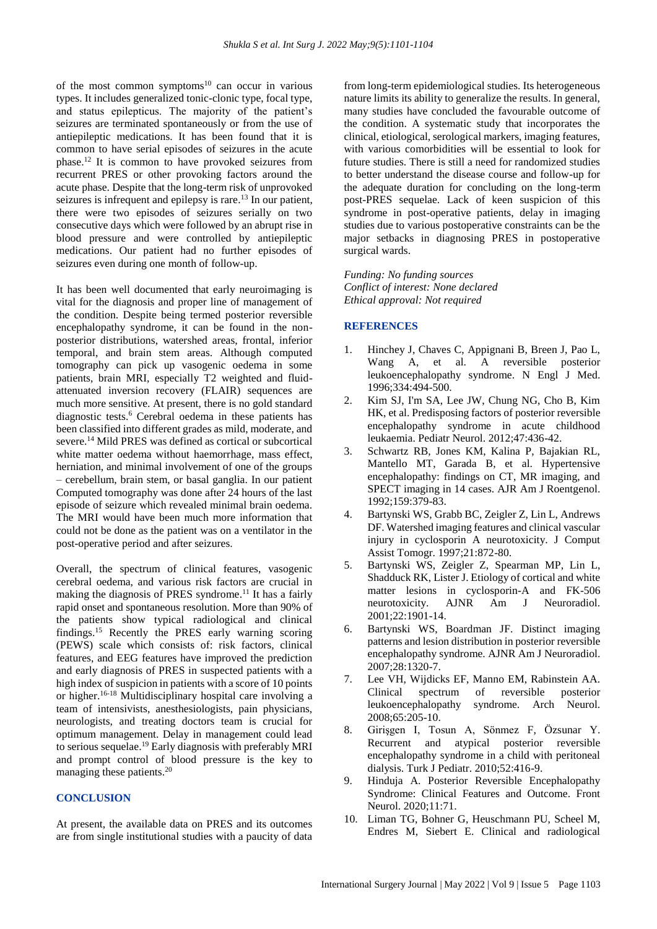of the most common symptoms $10$  can occur in various types. It includes generalized tonic-clonic type, focal type, and status epilepticus. The majority of the patient's seizures are terminated spontaneously or from the use of antiepileptic medications. It has been found that it is common to have serial episodes of seizures in the acute phase. <sup>12</sup> It is common to have provoked seizures from recurrent PRES or other provoking factors around the acute phase. Despite that the long-term risk of unprovoked seizures is infrequent and epilepsy is rare.<sup>13</sup> In our patient, there were two episodes of seizures serially on two consecutive days which were followed by an abrupt rise in blood pressure and were controlled by antiepileptic medications. Our patient had no further episodes of seizures even during one month of follow-up.

It has been well documented that early neuroimaging is vital for the diagnosis and proper line of management of the condition. Despite being termed posterior reversible encephalopathy syndrome, it can be found in the nonposterior distributions, watershed areas, frontal, inferior temporal, and brain stem areas. Although computed tomography can pick up vasogenic oedema in some patients, brain MRI, especially T2 weighted and fluidattenuated inversion recovery (FLAIR) sequences are much more sensitive. At present, there is no gold standard diagnostic tests. <sup>6</sup> Cerebral oedema in these patients has been classified into different grades as mild, moderate, and severe. <sup>14</sup> Mild PRES was defined as cortical or subcortical white matter oedema without haemorrhage, mass effect, herniation, and minimal involvement of one of the groups – cerebellum, brain stem, or basal ganglia. In our patient Computed tomography was done after 24 hours of the last episode of seizure which revealed minimal brain oedema. The MRI would have been much more information that could not be done as the patient was on a ventilator in the post-operative period and after seizures.

Overall, the spectrum of clinical features, vasogenic cerebral oedema, and various risk factors are crucial in making the diagnosis of PRES syndrome.<sup>11</sup> It has a fairly rapid onset and spontaneous resolution. More than 90% of the patients show typical radiological and clinical findings. <sup>15</sup> Recently the PRES early warning scoring (PEWS) scale which consists of: risk factors, clinical features, and EEG features have improved the prediction and early diagnosis of PRES in suspected patients with a high index of suspicion in patients with a score of 10 points or higher. 16-18 Multidisciplinary hospital care involving a team of intensivists, anesthesiologists, pain physicians, neurologists, and treating doctors team is crucial for optimum management. Delay in management could lead to serious sequelae. <sup>19</sup> Early diagnosis with preferably MRI and prompt control of blood pressure is the key to managing these patients. 20

#### **CONCLUSION**

At present, the available data on PRES and its outcomes are from single institutional studies with a paucity of data

from long-term epidemiological studies. Its heterogeneous nature limits its ability to generalize the results. In general, many studies have concluded the favourable outcome of the condition. A systematic study that incorporates the clinical, etiological, serological markers, imaging features, with various comorbidities will be essential to look for future studies. There is still a need for randomized studies to better understand the disease course and follow-up for the adequate duration for concluding on the long-term post-PRES sequelae. Lack of keen suspicion of this syndrome in post-operative patients, delay in imaging studies due to various postoperative constraints can be the major setbacks in diagnosing PRES in postoperative surgical wards.

*Funding: No funding sources Conflict of interest: None declared Ethical approval: Not required*

#### **REFERENCES**

- 1. Hinchey J, Chaves C, Appignani B, Breen J, Pao L, Wang A, et al. A reversible posterior leukoencephalopathy syndrome. N Engl J Med. 1996;334:494-500.
- 2. Kim SJ, I'm SA, Lee JW, Chung NG, Cho B, Kim HK, et al. Predisposing factors of posterior reversible encephalopathy syndrome in acute childhood leukaemia. Pediatr Neurol. 2012;47:436-42.
- 3. Schwartz RB, Jones KM, Kalina P, Bajakian RL, Mantello MT, Garada B, et al. Hypertensive encephalopathy: findings on CT, MR imaging, and SPECT imaging in 14 cases. AJR Am J Roentgenol. 1992;159:379-83.
- 4. Bartynski WS, Grabb BC, Zeigler Z, Lin L, Andrews DF. Watershed imaging features and clinical vascular injury in cyclosporin A neurotoxicity. J Comput Assist Tomogr. 1997;21:872-80.
- 5. Bartynski WS, Zeigler Z, Spearman MP, Lin L, Shadduck RK, Lister J. Etiology of cortical and white matter lesions in cyclosporin-A and FK-506 neurotoxicity. AJNR Am J Neuroradiol. 2001;22:1901-14.
- 6. Bartynski WS, Boardman JF. Distinct imaging patterns and lesion distribution in posterior reversible encephalopathy syndrome. AJNR Am J Neuroradiol. 2007;28:1320-7.
- 7. Lee VH, Wijdicks EF, Manno EM, Rabinstein AA. Clinical spectrum of reversible posterior leukoencephalopathy syndrome. Arch Neurol. 2008;65:205-10.
- 8. Girişgen I, Tosun A, Sönmez F, Özsunar Y. Recurrent and atypical posterior reversible encephalopathy syndrome in a child with peritoneal dialysis. Turk J Pediatr. 2010;52:416-9.
- 9. Hinduja A. Posterior Reversible Encephalopathy Syndrome: Clinical Features and Outcome. Front Neurol. 2020;11:71.
- 10. Liman TG, Bohner G, Heuschmann PU, Scheel M, Endres M, Siebert E. Clinical and radiological